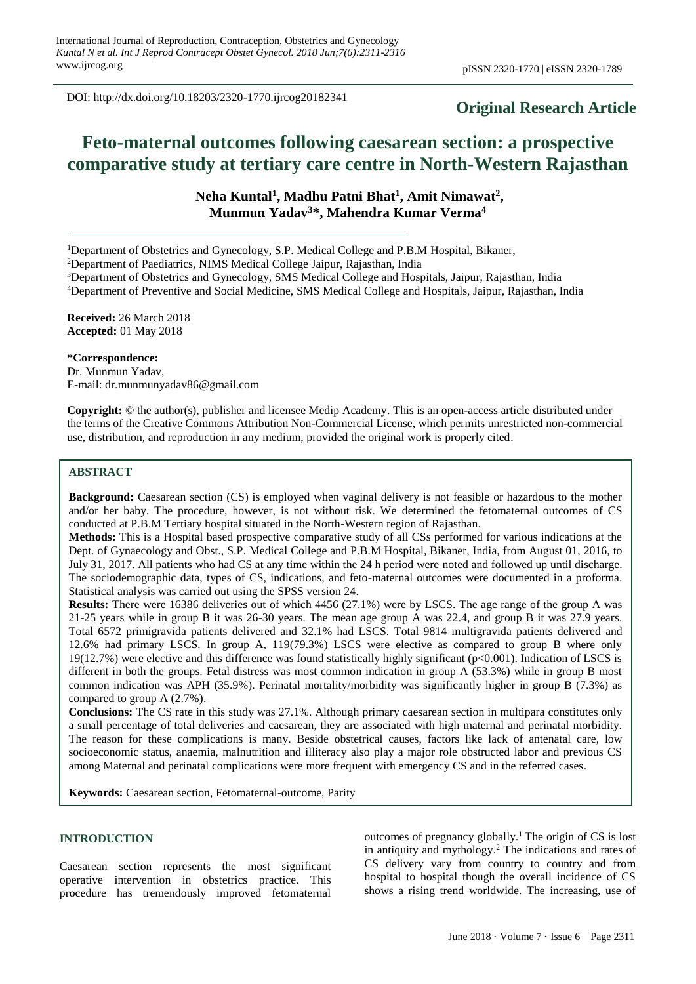DOI: http://dx.doi.org/10.18203/2320-1770.ijrcog20182341

# **Original Research Article**

# **Feto-maternal outcomes following caesarean section: a prospective comparative study at tertiary care centre in North-Western Rajasthan**

**Neha Kuntal<sup>1</sup> , Madhu Patni Bhat<sup>1</sup> , Amit Nimawat<sup>2</sup> , Munmun Yadav<sup>3</sup>\*, Mahendra Kumar Verma<sup>4</sup>**

<sup>1</sup>Department of Obstetrics and Gynecology, S.P. Medical College and P.B.M Hospital, Bikaner,

<sup>2</sup>Department of Paediatrics, NIMS Medical College Jaipur, Rajasthan, India

<sup>3</sup>Department of Obstetrics and Gynecology, SMS Medical College and Hospitals, Jaipur, Rajasthan, India

<sup>4</sup>Department of Preventive and Social Medicine, SMS Medical College and Hospitals, Jaipur, Rajasthan, India

**Received:** 26 March 2018 **Accepted:** 01 May 2018

#### **\*Correspondence:**

Dr. Munmun Yadav, E-mail: dr.munmunyadav86@gmail.com

**Copyright:** © the author(s), publisher and licensee Medip Academy. This is an open-access article distributed under the terms of the Creative Commons Attribution Non-Commercial License, which permits unrestricted non-commercial use, distribution, and reproduction in any medium, provided the original work is properly cited.

#### **ABSTRACT**

**Background:** Caesarean section (CS) is employed when vaginal delivery is not feasible or hazardous to the mother and/or her baby. The procedure, however, is not without risk. We determined the fetomaternal outcomes of CS conducted at P.B.M Tertiary hospital situated in the North-Western region of Rajasthan.

**Methods:** This is a Hospital based prospective comparative study of all CSs performed for various indications at the Dept. of Gynaecology and Obst., S.P. Medical College and P.B.M Hospital, Bikaner, India, from August 01, 2016, to July 31, 2017. All patients who had CS at any time within the 24 h period were noted and followed up until discharge. The sociodemographic data, types of CS, indications, and feto-maternal outcomes were documented in a proforma. Statistical analysis was carried out using the SPSS version 24.

**Results:** There were 16386 deliveries out of which 4456 (27.1%) were by LSCS. The age range of the group A was 21-25 years while in group B it was 26-30 years. The mean age group A was 22.4, and group B it was 27.9 years. Total 6572 primigravida patients delivered and 32.1% had LSCS. Total 9814 multigravida patients delivered and 12.6% had primary LSCS. In group A, 119(79.3%) LSCS were elective as compared to group B where only 19(12.7%) were elective and this difference was found statistically highly significant (p<0.001). Indication of LSCS is different in both the groups. Fetal distress was most common indication in group A (53.3%) while in group B most common indication was APH (35.9%). Perinatal mortality/morbidity was significantly higher in group B (7.3%) as compared to group A (2.7%).

**Conclusions:** The CS rate in this study was 27.1%. Although primary caesarean section in multipara constitutes only a small percentage of total deliveries and caesarean, they are associated with high maternal and perinatal morbidity. The reason for these complications is many. Beside obstetrical causes, factors like lack of antenatal care, low socioeconomic status, anaemia, malnutrition and illiteracy also play a major role obstructed labor and previous CS among Maternal and perinatal complications were more frequent with emergency CS and in the referred cases.

**Keywords:** Caesarean section, Fetomaternal-outcome, Parity

# **INTRODUCTION**

Caesarean section represents the most significant operative intervention in obstetrics practice. This procedure has tremendously improved fetomaternal

outcomes of pregnancy globally.<sup>1</sup>The origin of CS is lost in antiquity and mythology.<sup>2</sup> The indications and rates of CS delivery vary from country to country and from hospital to hospital though the overall incidence of CS shows a rising trend worldwide. The increasing, use of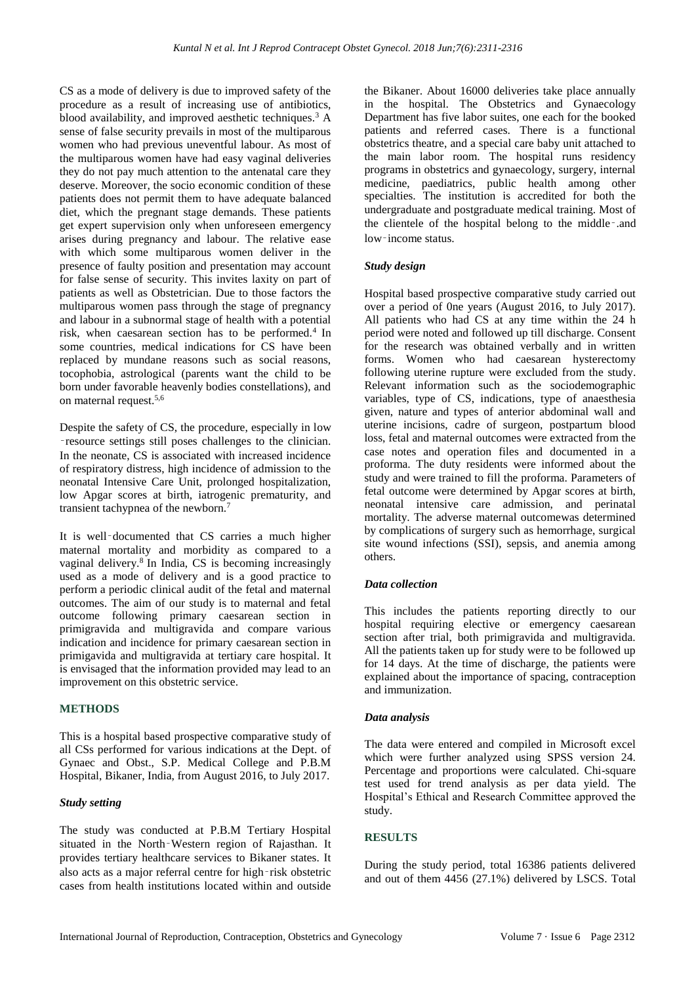CS as a mode of delivery is due to improved safety of the procedure as a result of increasing use of antibiotics, blood availability, and improved aesthetic techniques.<sup>3</sup> A sense of false security prevails in most of the multiparous women who had previous uneventful labour. As most of the multiparous women have had easy vaginal deliveries they do not pay much attention to the antenatal care they deserve. Moreover, the socio economic condition of these patients does not permit them to have adequate balanced diet, which the pregnant stage demands. These patients get expert supervision only when unforeseen emergency arises during pregnancy and labour. The relative ease with which some multiparous women deliver in the presence of faulty position and presentation may account for false sense of security. This invites laxity on part of patients as well as Obstetrician. Due to those factors the multiparous women pass through the stage of pregnancy and labour in a subnormal stage of health with a potential risk, when caesarean section has to be performed.<sup>4</sup> In some countries, medical indications for CS have been replaced by mundane reasons such as social reasons, tocophobia, astrological (parents want the child to be born under favorable heavenly bodies constellations), and on maternal request.5,6

Despite the safety of CS, the procedure, especially in low ‑resource settings still poses challenges to the clinician. In the neonate, CS is associated with increased incidence of respiratory distress, high incidence of admission to the neonatal Intensive Care Unit, prolonged hospitalization, low Apgar scores at birth, iatrogenic prematurity, and transient tachypnea of the newborn.<sup>7</sup>

It is well‑documented that CS carries a much higher maternal mortality and morbidity as compared to a vaginal delivery.<sup>8</sup> In India, CS is becoming increasingly used as a mode of delivery and is a good practice to perform a periodic clinical audit of the fetal and maternal outcomes. The aim of our study is to maternal and fetal outcome following primary caesarean section in primigravida and multigravida and compare various indication and incidence for primary caesarean section in primigavida and multigravida at tertiary care hospital. It is envisaged that the information provided may lead to an improvement on this obstetric service.

# **METHODS**

This is a hospital based prospective comparative study of all CSs performed for various indications at the Dept. of Gynaec and Obst., S.P. Medical College and P.B.M Hospital, Bikaner, India, from August 2016, to July 2017.

#### *Study setting*

The study was conducted at P.B.M Tertiary Hospital situated in the North‑Western region of Rajasthan. It provides tertiary healthcare services to Bikaner states. It also acts as a major referral centre for high‑risk obstetric cases from health institutions located within and outside

the Bikaner. About 16000 deliveries take place annually in the hospital. The Obstetrics and Gynaecology Department has five labor suites, one each for the booked patients and referred cases. There is a functional obstetrics theatre, and a special care baby unit attached to the main labor room. The hospital runs residency programs in obstetrics and gynaecology, surgery, internal medicine, paediatrics, public health among other specialties. The institution is accredited for both the undergraduate and postgraduate medical training. Most of the clientele of the hospital belong to the middle‑.and low-income status.

#### *Study design*

Hospital based prospective comparative study carried out over a period of 0ne years (August 2016, to July 2017). All patients who had CS at any time within the 24 h period were noted and followed up till discharge. Consent for the research was obtained verbally and in written forms. Women who had caesarean hysterectomy following uterine rupture were excluded from the study. Relevant information such as the sociodemographic variables, type of CS, indications, type of anaesthesia given, nature and types of anterior abdominal wall and uterine incisions, cadre of surgeon, postpartum blood loss, fetal and maternal outcomes were extracted from the case notes and operation files and documented in a proforma. The duty residents were informed about the study and were trained to fill the proforma. Parameters of fetal outcome were determined by Apgar scores at birth, neonatal intensive care admission, and perinatal mortality. The adverse maternal outcomewas determined by complications of surgery such as hemorrhage, surgical site wound infections (SSI), sepsis, and anemia among others.

# *Data collection*

This includes the patients reporting directly to our hospital requiring elective or emergency caesarean section after trial, both primigravida and multigravida. All the patients taken up for study were to be followed up for 14 days. At the time of discharge, the patients were explained about the importance of spacing, contraception and immunization.

#### *Data analysis*

The data were entered and compiled in Microsoft excel which were further analyzed using SPSS version 24. Percentage and proportions were calculated. Chi-square test used for trend analysis as per data yield. The Hospital's Ethical and Research Committee approved the study.

# **RESULTS**

During the study period, total 16386 patients delivered and out of them 4456 (27.1%) delivered by LSCS. Total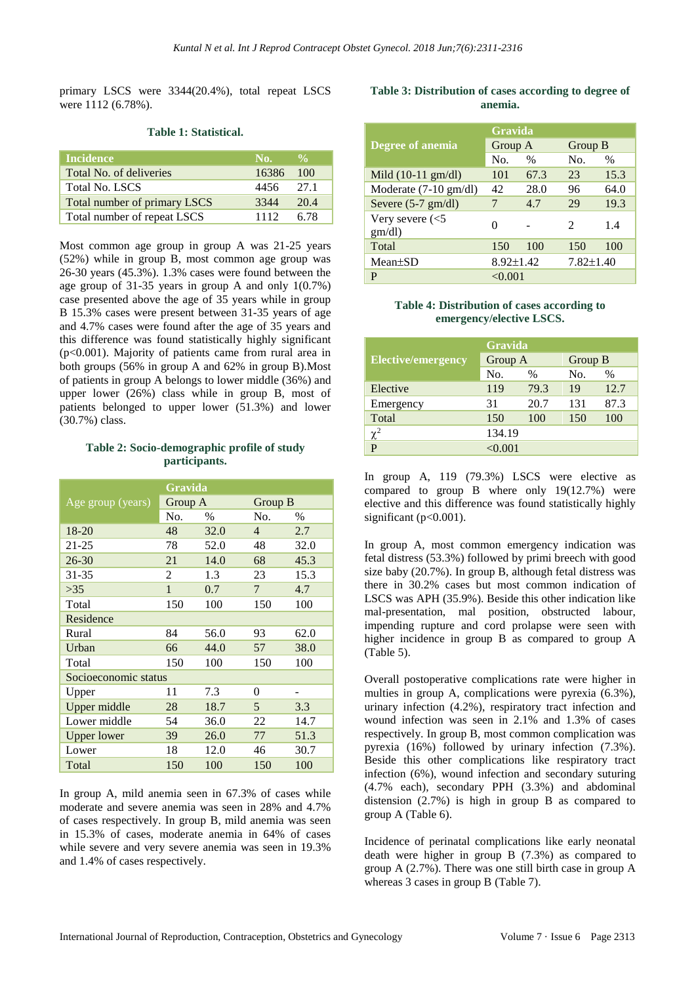primary LSCS were 3344(20.4%), total repeat LSCS were 1112 (6.78%).

| Incidence                    | No.   | $\mathbf{O}_{\mathbf{O}}$ |
|------------------------------|-------|---------------------------|
| Total No. of deliveries      | 16386 | 100                       |
| <b>Total No. LSCS</b>        | 4456  | 27.1                      |
| Total number of primary LSCS | 3344  | 20.4                      |
| Total number of repeat LSCS  | 1112  | 6.78                      |

#### **Table 1: Statistical.**

Most common age group in group A was 21-25 years (52%) while in group B, most common age group was 26-30 years (45.3%). 1.3% cases were found between the age group of 31-35 years in group A and only 1(0.7%) case presented above the age of 35 years while in group B 15.3% cases were present between 31-35 years of age and 4.7% cases were found after the age of 35 years and this difference was found statistically highly significant (p<0.001). Majority of patients came from rural area in both groups (56% in group A and 62% in group B).Most of patients in group A belongs to lower middle (36%) and upper lower (26%) class while in group B, most of patients belonged to upper lower (51.3%) and lower (30.7%) class.

# **Table 2: Socio-demographic profile of study participants.**

|                      |              | Gravida |                |      |  |  |
|----------------------|--------------|---------|----------------|------|--|--|
| Age group (years)    | Group A      |         | Group B        |      |  |  |
|                      | No.          | $\%$    | No.            | $\%$ |  |  |
| 18-20                | 48           | 32.0    | $\overline{4}$ | 2.7  |  |  |
| $21 - 25$            | 78           | 52.0    | 48             | 32.0 |  |  |
| 26-30                | 21           | 14.0    | 68             | 45.3 |  |  |
| $31 - 35$            | 2            | 1.3     | 23             | 15.3 |  |  |
| >35                  | $\mathbf{1}$ | 0.7     | $\overline{7}$ | 4.7  |  |  |
| Total                | 150          | 100     | 150            | 100  |  |  |
| Residence            |              |         |                |      |  |  |
| Rural                | 84           | 56.0    | 93             | 62.0 |  |  |
| Urban                | 66           | 44.0    | 57             | 38.0 |  |  |
| Total                | 150          | 100     | 150            | 100  |  |  |
| Socioeconomic status |              |         |                |      |  |  |
| Upper                | 11           | 7.3     | 0              |      |  |  |
| Upper middle         | 28           | 18.7    | 5              | 3.3  |  |  |
| Lower middle         | 54           | 36.0    | 22             | 14.7 |  |  |
| <b>Upper lower</b>   | 39           | 26.0    | 77             | 51.3 |  |  |
| Lower                | 18           | 12.0    | 46             | 30.7 |  |  |
| Total                | 150          | 100     | 150            | 100  |  |  |

In group A, mild anemia seen in 67.3% of cases while moderate and severe anemia was seen in 28% and 4.7% of cases respectively. In group B, mild anemia was seen in 15.3% of cases, moderate anemia in 64% of cases while severe and very severe anemia was seen in 19.3% and 1.4% of cases respectively.

# **Table 3: Distribution of cases according to degree of anemia.**

|                                 | <b>Gravida</b>  |               |                             |               |  |  |
|---------------------------------|-----------------|---------------|-----------------------------|---------------|--|--|
| Degree of anemia                | Group A         |               |                             | Group B       |  |  |
|                                 | No.             | $\frac{0}{0}$ | No.                         | $\frac{0}{0}$ |  |  |
| Mild $(10-11 \text{ gm/dl})$    | 101             | 67.3          | 23                          | 15.3          |  |  |
| Moderate $(7-10 \text{ gm/dl})$ | 42              | 28.0          | 96                          | 64.0          |  |  |
| Severe $(5-7 \text{ gm/dl})$    | 7               | 4.7           | 29                          | 19.3          |  |  |
| Very severe $(<5$<br>gm/dl)     | $_{0}$          |               | $\mathcal{D}_{\mathcal{L}}$ | 1.4           |  |  |
| Total                           | 150             | 100           | 150                         | 100           |  |  |
| $Mean \pm SD$                   | $8.92 \pm 1.42$ |               | $7.82 \pm 1.40$             |               |  |  |
| P                               | ${<}0.001$      |               |                             |               |  |  |

# **Table 4: Distribution of cases according to emergency/elective LSCS.**

| <b>Gravida</b>            |         |      |         |      |  |  |
|---------------------------|---------|------|---------|------|--|--|
| <b>Elective/emergency</b> | Group A |      | Group B |      |  |  |
|                           | No.     | $\%$ | No.     | $\%$ |  |  |
| Elective                  | 119     | 79.3 | 19      | 12.7 |  |  |
| Emergency                 | 31      | 20.7 | 131     | 87.3 |  |  |
| Total                     | 150     | 100  | 150     | 100  |  |  |
| $\chi^2$                  | 134.19  |      |         |      |  |  |
| P                         | < 0.001 |      |         |      |  |  |

In group A, 119 (79.3%) LSCS were elective as compared to group B where only 19(12.7%) were elective and this difference was found statistically highly significant ( $p<0.001$ ).

In group A, most common emergency indication was fetal distress (53.3%) followed by primi breech with good size baby (20.7%). In group B, although fetal distress was there in 30.2% cases but most common indication of LSCS was APH (35.9%). Beside this other indication like mal-presentation, mal position, obstructed labour, impending rupture and cord prolapse were seen with higher incidence in group B as compared to group A (Table 5).

Overall postoperative complications rate were higher in multies in group A, complications were pyrexia (6.3%), urinary infection (4.2%), respiratory tract infection and wound infection was seen in 2.1% and 1.3% of cases respectively. In group B, most common complication was pyrexia (16%) followed by urinary infection (7.3%). Beside this other complications like respiratory tract infection (6%), wound infection and secondary suturing (4.7% each), secondary PPH (3.3%) and abdominal distension (2.7%) is high in group B as compared to group A (Table 6).

Incidence of perinatal complications like early neonatal death were higher in group B (7.3%) as compared to group A (2.7%). There was one still birth case in group A whereas 3 cases in group B (Table 7).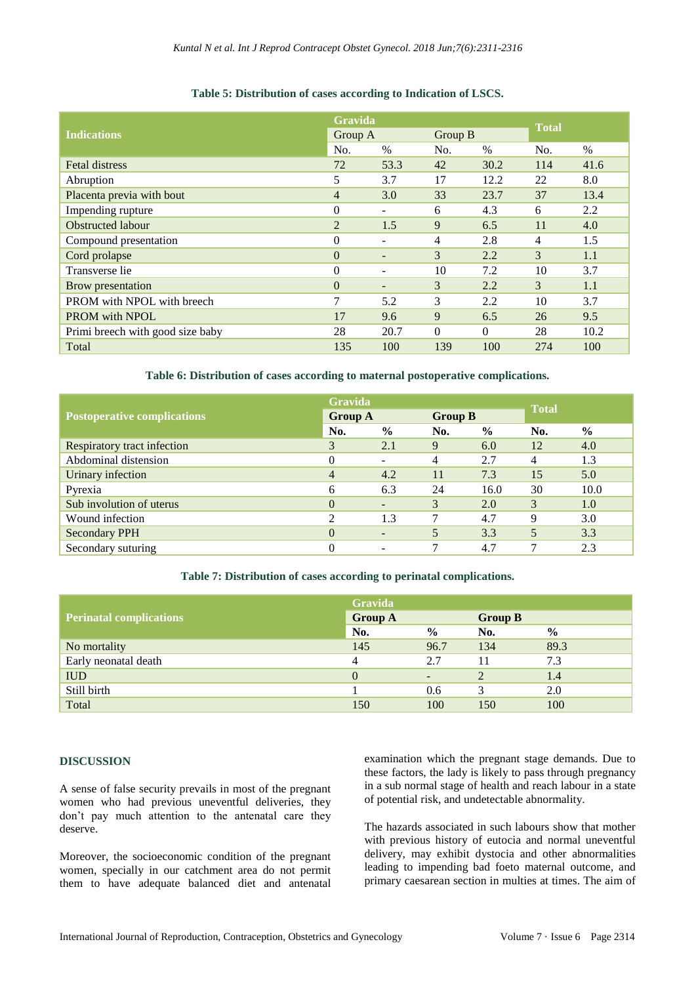# **Table 5: Distribution of cases according to Indication of LSCS.**

|                                  | <b>Gravida</b> |                          |               |          | <b>Total</b> |      |
|----------------------------------|----------------|--------------------------|---------------|----------|--------------|------|
| <b>Indications</b>               | Group A        |                          | Group B       |          |              |      |
|                                  | No.            | $\%$                     | No.           | $\%$     | No.          | $\%$ |
| <b>Fetal distress</b>            | 72             | 53.3                     | 42            | 30.2     | 114          | 41.6 |
| Abruption                        | 5              | 3.7                      | 17            | 12.2     | 22           | 8.0  |
| Placenta previa with bout        | $\overline{4}$ | 3.0                      | 33            | 23.7     | 37           | 13.4 |
| Impending rupture                | $\Omega$       | $\overline{\phantom{a}}$ | 6             | 4.3      | 6            | 2.2  |
| <b>Obstructed labour</b>         | $\overline{2}$ | 1.5                      | 9             | 6.5      | 11           | 4.0  |
| Compound presentation            | $\theta$       | $\overline{\phantom{a}}$ | 4             | 2.8      | 4            | 1.5  |
| Cord prolapse                    | $\Omega$       | $\overline{\phantom{a}}$ | 3             | 2.2      | 3            | 1.1  |
| Transverse lie                   | $\overline{0}$ | ٠                        | 10            | 7.2      | 10           | 3.7  |
| Brow presentation                | $\Omega$       | $\overline{\phantom{a}}$ | 3             | 2.2      | 3            | 1.1  |
| PROM with NPOL with breech       | $\overline{7}$ | 5.2                      | $\mathcal{F}$ | 2.2      | 10           | 3.7  |
| <b>PROM</b> with NPOL            | 17             | 9.6                      | 9             | 6.5      | 26           | 9.5  |
| Primi breech with good size baby | 28             | 20.7                     | $\Omega$      | $\Omega$ | 28           | 10.2 |
| Total                            | 135            | 100                      | 139           | 100      | 274          | 100  |

**Table 6: Distribution of cases according to maternal postoperative complications.**

|                                    | Gravida        |                          |                |               |              |               |
|------------------------------------|----------------|--------------------------|----------------|---------------|--------------|---------------|
| <b>Postoperative complications</b> | <b>Group A</b> |                          | <b>Group B</b> |               | <b>Total</b> |               |
|                                    | No.            | $\frac{0}{0}$            | No.            | $\frac{6}{6}$ | No.          | $\frac{6}{9}$ |
| Respiratory tract infection        | 3              | 2.1                      | 9              | 6.0           | 12           | 4.0           |
| Abdominal distension               |                | -                        | 4              | 2.7           | 4            | 1.3           |
| Urinary infection                  | 4              | 4.2                      | 11             | 7.3           | 15           | 5.0           |
| Pyrexia                            | 6              | 6.3                      | 24             | 16.0          | 30           | 10.0          |
| Sub involution of uterus           | $\Omega$       | $\overline{\phantom{a}}$ | 3              | 2.0           | 3            | 1.0           |
| Wound infection                    |                | 1.3                      |                | 4.7           | 9            | 3.0           |
| <b>Secondary PPH</b>               | $\theta$       | $\overline{\phantom{a}}$ |                | 3.3           | 5            | 3.3           |
| Secondary suturing                 |                |                          |                | 4.7           | ┑            | 2.3           |

#### **Table 7: Distribution of cases according to perinatal complications.**

|                                | Gravida        |               |                |               |
|--------------------------------|----------------|---------------|----------------|---------------|
| <b>Perinatal complications</b> | <b>Group A</b> |               | <b>Group B</b> |               |
|                                | No.            | $\frac{6}{6}$ | No.            | $\frac{6}{9}$ |
| No mortality                   | 145            | 96.7          | 134            | 89.3          |
| Early neonatal death           | 4              | 2.7           |                | 7.3           |
| <b>IUD</b>                     | $\theta$       |               |                | 1.4           |
| Still birth                    |                | 0.6           |                | 2.0           |
| Total                          |                | 100           | 150            | 100           |

#### **DISCUSSION**

A sense of false security prevails in most of the pregnant women who had previous uneventful deliveries, they don't pay much attention to the antenatal care they deserve.

Moreover, the socioeconomic condition of the pregnant women, specially in our catchment area do not permit them to have adequate balanced diet and antenatal

examination which the pregnant stage demands. Due to these factors, the lady is likely to pass through pregnancy in a sub normal stage of health and reach labour in a state of potential risk, and undetectable abnormality.

The hazards associated in such labours show that mother with previous history of eutocia and normal uneventful delivery, may exhibit dystocia and other abnormalities leading to impending bad foeto maternal outcome, and primary caesarean section in multies at times. The aim of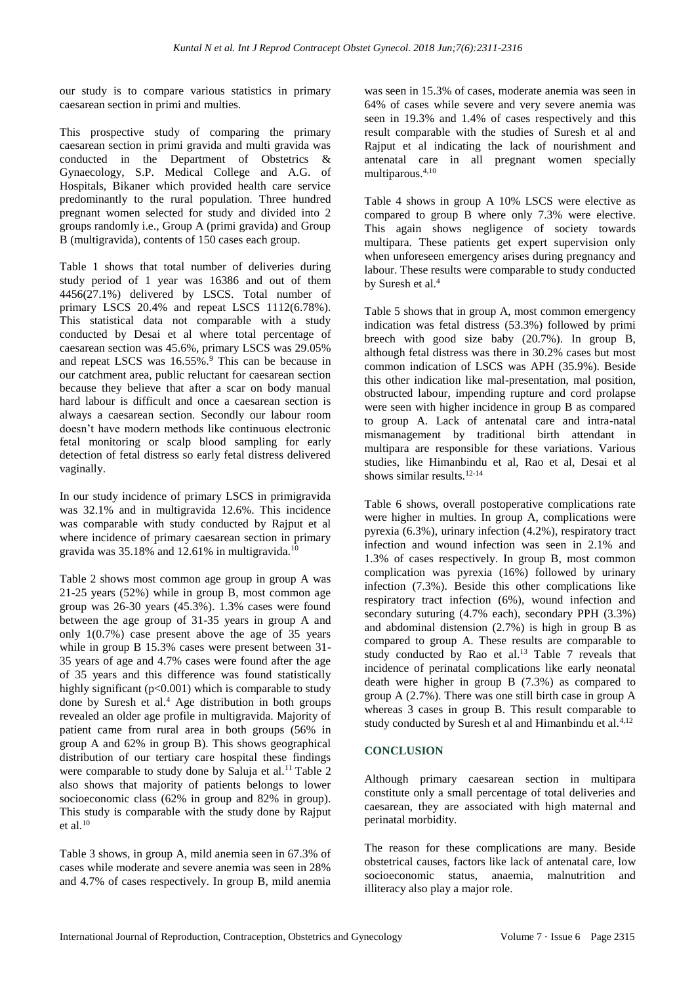our study is to compare various statistics in primary caesarean section in primi and multies.

This prospective study of comparing the primary caesarean section in primi gravida and multi gravida was conducted in the Department of Obstetrics & Gynaecology, S.P. Medical College and A.G. of Hospitals, Bikaner which provided health care service predominantly to the rural population. Three hundred pregnant women selected for study and divided into 2 groups randomly i.e., Group A (primi gravida) and Group B (multigravida), contents of 150 cases each group.

Table 1 shows that total number of deliveries during study period of 1 year was 16386 and out of them 4456(27.1%) delivered by LSCS. Total number of primary LSCS 20.4% and repeat LSCS 1112(6.78%). This statistical data not comparable with a study conducted by Desai et al where total percentage of caesarean section was 45.6%, primary LSCS was 29.05% and repeat LSCS was 16.55%.<sup>9</sup> This can be because in our catchment area, public reluctant for caesarean section because they believe that after a scar on body manual hard labour is difficult and once a caesarean section is always a caesarean section. Secondly our labour room doesn't have modern methods like continuous electronic fetal monitoring or scalp blood sampling for early detection of fetal distress so early fetal distress delivered vaginally.

In our study incidence of primary LSCS in primigravida was 32.1% and in multigravida 12.6%. This incidence was comparable with study conducted by Rajput et al where incidence of primary caesarean section in primary gravida was 35.18% and 12.61% in multigravida.<sup>10</sup>

Table 2 shows most common age group in group A was 21-25 years (52%) while in group B, most common age group was 26-30 years (45.3%). 1.3% cases were found between the age group of 31-35 years in group A and only 1(0.7%) case present above the age of 35 years while in group B 15.3% cases were present between 31- 35 years of age and 4.7% cases were found after the age of 35 years and this difference was found statistically highly significant  $(p<0.001)$  which is comparable to study done by Suresh et al.<sup>4</sup> Age distribution in both groups revealed an older age profile in multigravida. Majority of patient came from rural area in both groups (56% in group A and 62% in group B). This shows geographical distribution of our tertiary care hospital these findings were comparable to study done by Saluja et al.<sup>11</sup> Table 2 also shows that majority of patients belongs to lower socioeconomic class (62% in group and 82% in group). This study is comparable with the study done by Rajput et al. $10$ 

Table 3 shows, in group A, mild anemia seen in 67.3% of cases while moderate and severe anemia was seen in 28% and 4.7% of cases respectively. In group B, mild anemia was seen in 15.3% of cases, moderate anemia was seen in 64% of cases while severe and very severe anemia was seen in 19.3% and 1.4% of cases respectively and this result comparable with the studies of Suresh et al and Rajput et al indicating the lack of nourishment and antenatal care in all pregnant women specially multiparous.4,10

Table 4 shows in group A 10% LSCS were elective as compared to group B where only 7.3% were elective. This again shows negligence of society towards multipara. These patients get expert supervision only when unforeseen emergency arises during pregnancy and labour. These results were comparable to study conducted by Suresh et al.<sup>4</sup>

Table 5 shows that in group A, most common emergency indication was fetal distress (53.3%) followed by primi breech with good size baby (20.7%). In group B, although fetal distress was there in 30.2% cases but most common indication of LSCS was APH (35.9%). Beside this other indication like mal-presentation, mal position, obstructed labour, impending rupture and cord prolapse were seen with higher incidence in group B as compared to group A. Lack of antenatal care and intra-natal mismanagement by traditional birth attendant in multipara are responsible for these variations. Various studies, like Himanbindu et al, Rao et al, Desai et al shows similar results.<sup>12-14</sup>

Table 6 shows, overall postoperative complications rate were higher in multies. In group A, complications were pyrexia (6.3%), urinary infection (4.2%), respiratory tract infection and wound infection was seen in 2.1% and 1.3% of cases respectively. In group B, most common complication was pyrexia (16%) followed by urinary infection (7.3%). Beside this other complications like respiratory tract infection (6%), wound infection and secondary suturing (4.7% each), secondary PPH (3.3%) and abdominal distension (2.7%) is high in group B as compared to group A. These results are comparable to study conducted by Rao et al.<sup>13</sup> Table 7 reveals that incidence of perinatal complications like early neonatal death were higher in group B (7.3%) as compared to group A (2.7%). There was one still birth case in group A whereas 3 cases in group B. This result comparable to study conducted by Suresh et al and Himanbindu et al.<sup>4,12</sup>

# **CONCLUSION**

Although primary caesarean section in multipara constitute only a small percentage of total deliveries and caesarean, they are associated with high maternal and perinatal morbidity.

The reason for these complications are many. Beside obstetrical causes, factors like lack of antenatal care, low socioeconomic status, anaemia, malnutrition and illiteracy also play a major role.